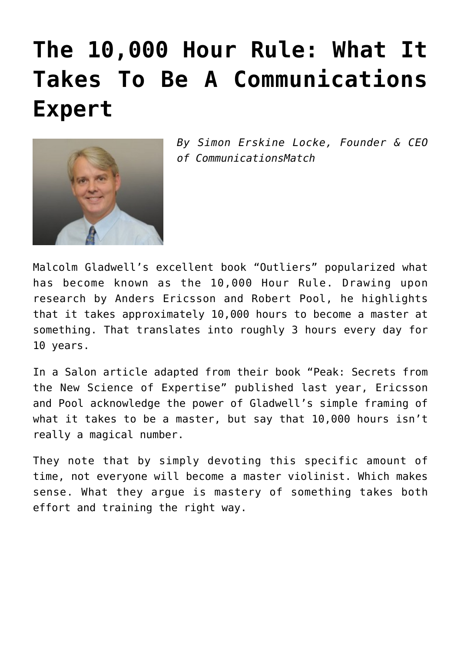## **[The 10,000 Hour Rule: What It](https://www.commpro.biz/the-10000-hour-rule-what-it-takes-to-be-a-communications-expert/) [Takes To Be A Communications](https://www.commpro.biz/the-10000-hour-rule-what-it-takes-to-be-a-communications-expert/) [Expert](https://www.commpro.biz/the-10000-hour-rule-what-it-takes-to-be-a-communications-expert/)**



*By Simon Erskine Locke, Founder & CEO of [CommunicationsMatch](https://www.communicationsmatch.com/)*

Malcolm Gladwell's excellent book "Outliers" popularized what has become known as the 10,000 Hour Rule. Drawing upon research by Anders Ericsson and Robert Pool, he highlights that it takes approximately 10,000 hours to become a master at something. That translates into roughly 3 hours every day for 10 years.

In a Salon [article](https://www.salon.com/2016/04/10/malcolm_gladwell_got_us_wrong_our_research_was_key_to_the_10000_hour_rule_but_heres_what_got_oversimplified/) adapted from their book "Peak: Secrets from the New Science of Expertise" published last year, Ericsson and Pool acknowledge the power of Gladwell's simple framing of what it takes to be a master, but say that 10,000 hours isn't really a magical number.

They note that by simply devoting this specific amount of time, not everyone will become a master violinist. Which makes sense. What they argue is mastery of something takes both effort and training the right way.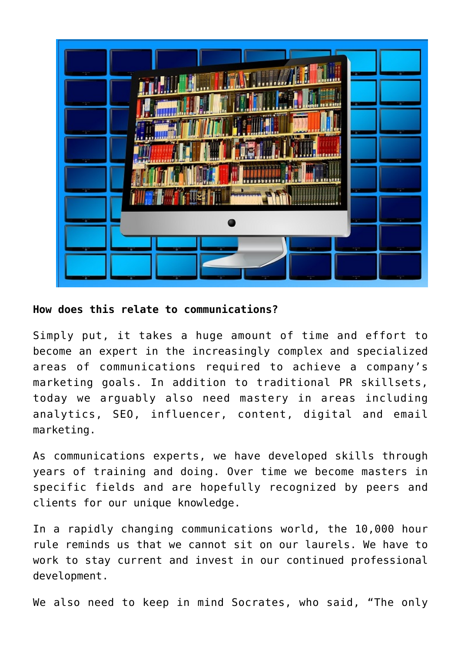

**How does this relate to communications?**

Simply put, it takes a huge amount of time and effort to become an expert in the increasingly complex and specialized areas of communications required to achieve a company's [marketing](https://www.commpro.biz/marketing-section) goals. In addition to traditional [PR](https://www.commpro.biz/public-relations-section/) skillsets, today we arguably also need mastery in areas including analytics, SEO, influencer, content, digital and email marketing.

As communications experts, we have developed skills through years of training and doing. Over time we become masters in specific fields and are hopefully recognized by peers and clients for our unique knowledge.

In a rapidly changing communications world, the 10,000 hour rule reminds us that we cannot sit on our laurels. We have to work to stay current and invest in our continued professional development.

We also need to keep in mind Socrates, who said, "The only